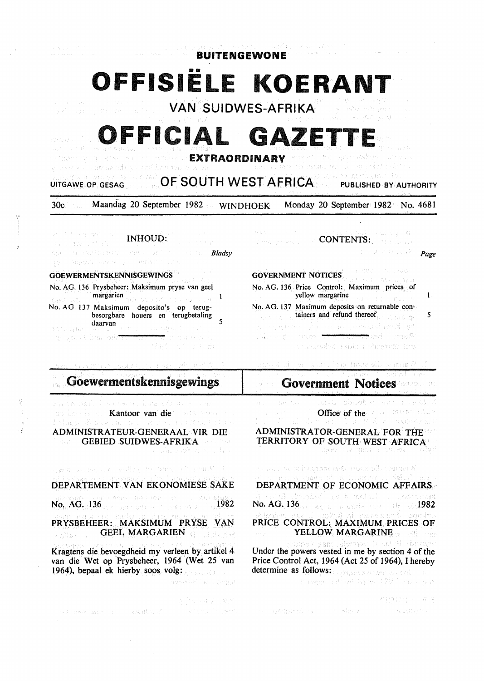# 1111 **OFFISIELE KOERANT**

BUITENGEWONE

VAN SUIDWES-AFRIKA

## FFICIAL GAZETT

EXTRAORDINARY

### UITGAWE OP GESAG **OF SOUTH WEST AFRICA** PUBLISHED BY AUTHORITY

30c Maandag 20 September 1982 WINDHOEK Monday 20 September 1982 No. 4681

INHOUD:  $\label{eq:3} \begin{split} \mathbb{E}[\mathbf{1} \mathbf{3} \mathbf{1} \mathbf{1} \mathbf{1} \mathbf{1} \mathbf{1} \mathbf{1} \mathbf{1} \mathbf{1} \mathbf{1} \mathbf{1} \mathbf{1} \mathbf{1}] = \mathbf{3} \mathbf{3} \mathbf{1} \mathbf{1} \mathbf{1} \mathbf{1} \mathbf{1} \mathbf{1} \mathbf{1} \mathbf{1} \mathbf{1} \mathbf{1} \mathbf{1} \mathbf{1} \mathbf{1} \mathbf{1} \mathbf{1} \mathbf{1} \mathbf{1} \mathbf$ *Bladsy*  FRANCE SCHER FILEMENT DIE GOEWERMENTSKENNISGEWINGS No. AG. 136 Prysbeheer: Maksimum pryse van gee! margarien<br>Margarien (1990-1990), Deutsche Produktion  $\mathbf{I}$ a est No. AG. 137 Maksimum deposito's op terugbesorgbare houers en terugbetaling daarvan 1999 van die 19de eeu n.C. 1999 van die 19de eeu n.C. 1999 van die 19de eeu n.C. 1999 van die 19de eeu n.C. 1999 van die 19de eeu n.C. 1999 van die 19de eeu n.C. 1999 van die 19de eeu n.C. 1999 van die 19de eeu n.C Mile gR The gas is blaz only

 $\label{eq:1} \begin{array}{c} \mathcal{P}_{\mathcal{A}}(\mathcal{A})\\ \mathcal{P}_{\mathcal{A}}(\mathcal{A})=\mathcal{P}_{\mathcal{A}}(\mathcal{A})\mathcal{P}_{\mathcal{A}}(\mathcal{A}) \end{array}$ 

#### Goewermentskennisgewings  $\{\hat{\gamma}_k\}_{k=1}^{\infty}$

ent on der suchative have add at-**Kantoor van die** Wanneem I Slactic B ADMINISTRATEUR-GENERAAL VIR DIE

GEBIED SUIDWES-AFRIKA

actor and any one of the top to the body with start X of

DEPARTEMENT VAN EKONOMIESE SAKE

No. AG. 136 1982 Surveyor Service Service 1982

PRYSBEHEER: MAKSIMUM PRYSE VAN GEEL MARGARIEN viollar in

Kragtens die bevoegdheid my verleen by artikel 4 van die Wet op Prysbeheer, 1964 (Wet 25 van 1964), bepaal ek hierby soos volg:

ACCOMBINE TELL

ਰਕਲੀ ਦੇ ਕਿਹਾ ਗਰ

jariheri ve yi Totok

all organiz CONTENTS: Contractors and Page

**Contractor** 19月经银行人 GOVERNMENT NOTICES .<br>Etimologia este aka No. AG. 136 Price Control: Maximum prices of

yellow margarine like the state of the latter of the latter of the latter of the latter of the latter of the latter of the latter of the latter of the latter of the latter of the latter of the latter of the latter of the l No. AG. 137 Maximum deposits on returnable containers and refund thereof 5 As a step of about the composition of the set Rams i rek<del>en</del> wiki yayo Partes <del>at</del> sources that debt refugees took

an tar keep toong ekl. ayaanat d

Government Notices special disignities and a cardinal Office of the and an interference ADMINISTRATOR-GENERAL FOR THE TERRITORY OF SOUTH WEST AFRICA instration 受發行

 $\sim$  half a minorandary powerful tenan $N$  . DEPARTMENT OF ECONOMIC AFFAIRS No. AG. 136 avec manufacture in a section and<br>No. AG. 136 avec manufacture in add 1982 PRICE CONTROL: MAXIMUM PRICES OF YELLOW MARGARINE Under the powers vested in me by section 4 of the Price Control Act, 1964 (Act 25 of 1964), I hereby determine as follows: a strategy strategy and the de-Reported a difficult improved RR Contract plan

不好的 经国家保险 C. B. SWAY NO.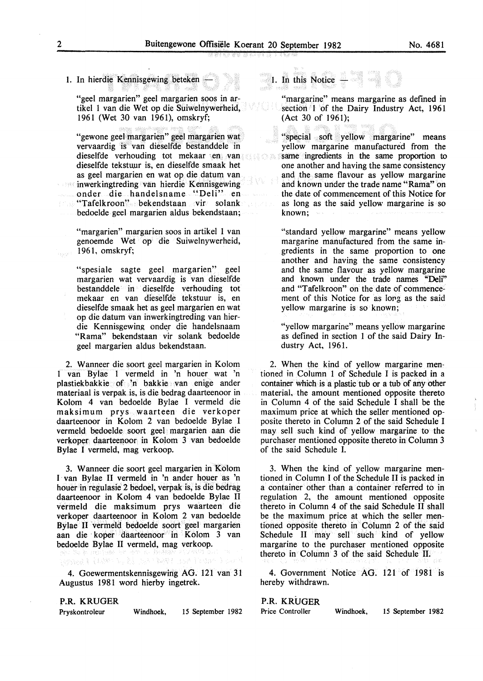#### 1. In hierdie Kennisgewing beteken

"geel margarien" geel margarien soos in artikel 1 van die Wet op die Suiwelnywerheid, 1961 (Wet 30 van 1961), omskryf;

"gewone geel margarien" geel margarien wat vervaardig is van dieselfde bestanddele in dieselfde verhouding tot mekaar en van dieselfde tekstuur is, en dieselfde smaak het as geel margarien en wat op die datum van inwerkingtreding van hierdie Kennisgewing onder die handelsname "Deli" en "Tafelkroon" bekendstaan vir solank bedoelde geel margarien aldus bekendstaan;

"margarien" margarien soos in artikel I van genoemde Wet op die Suiwelnywerheid, 1961, omskryf;

"spesiale sagte geel margarien" geel margarien wat vervaardig is van dieselfde bestanddele in dieselfde verhouding tot mekaar en van dieselfde tekstuur is, en dieselfde smaak het as geel margarien en wat op die datum van inwerkingtreding van hierdie Kennisgewing onder die handelsnaam "Rama" bekendstaan vir solank bedoelde geel margarien aldus bekendstaan.

2. Wanneer die soort geel margarien in Kolom 1 van Bylae 1 vermeld in 'n houer wat 'n plastiekbakkie of 'n bakkie van enige ander materiaal is verpak is, is die bedrag daarteenoor in Kolom 4 van bedoelde Bylae I vermeld die maksimum prys waarteen die verkoper daarteenoor in Kolom 2 van bedoelde Bylae I vermeld bedoelde soort geel margarien aan die verkoper daarteenoor in Kolom 3 van bedoelde Bylae I vermeld, mag verkoop.

3. W anneer die soort geel margarien in Ko1om I· van Bylae II vermeld in 'n ander houer as 'n houer in regulasie 2 bedoel, verpak is, is die bedrag daarteenoor in Kolom 4 van bedoelde Bylae II vermeld die maksimum prys waarteen die verkoper daarteenoor in Kolom 2 van bedoelde Bylae II vermeld bedoelde soort geel margarien aan die · koper daarteenoor in Kolom 3 van bedoelde Bylae II vermeld, mag verkoop.

经济报告 计控制

4. Goewermentskennisgewing AG. 121 van 31 Augustus 1981 word hierby ingetrek.

#### P.R. KRUGER

Pryskontroleur Windhoek, 15 September 1982

I. In this Notice -

"margarine" means margarine as defined in section 1 of the Dairy Industry Act, 1961 (Act 30 of 1961);

"special soft yellow margarine" means yellow margarine manufactured from the same ingredients in the same proportion to one another and having the same consistency and the same flavour as yellow margarine and known under the trade name "Rama" on the date of commencement of this Notice for as long as the said yellow margarine is so known;

"standard yellow margarine" means yellow margarine manufactured from the same ingredients in the same proportion to one another and having the same consistency and the same flavour as yellow margarine and known under the trade names "Deli" and "Tafelkroon" on the date of commencement of this Notice for as lopg as the said yellow margarine is so known;

"yellow margarine" means yellow margarine as defined in section 1 of the said Dairy Industry Act, 1961.

2. When the kind of yellow margarine mentioned in Column 1 of Schedule I is packed in a container which is a plastic tub or a tub of any other material, the amount mentioned opposite thereto in Column 4 of the said Schedule I shall be the maximum price at which the seller mentioned opposite thereto in Column 2 of the said Schedule I may sell such kind. of yellow margarine to the purchaser mentioned opposite thereto in Column 3 of the said Schedule I.

3. When the kind of yellow margarine mentioned in Column I of the Schedule II is packed in a container other than a container referred to in regulation 2, the amount mentioned opposite thereto in Column 4 of the said Schedule II shall be the maximum price at which the seller mentioned opposite thereto in Column 2 of the said Schedule II may sell such kind of yellow margarine to the purchaser mentioned opposite thereto in Column 3 of the said Schedule II.

4. Government Notice AG. 121 of 1981 is hereby withdrawn.

#### P.R. KRUGER

Price Controller Windhoek, 15 September 1982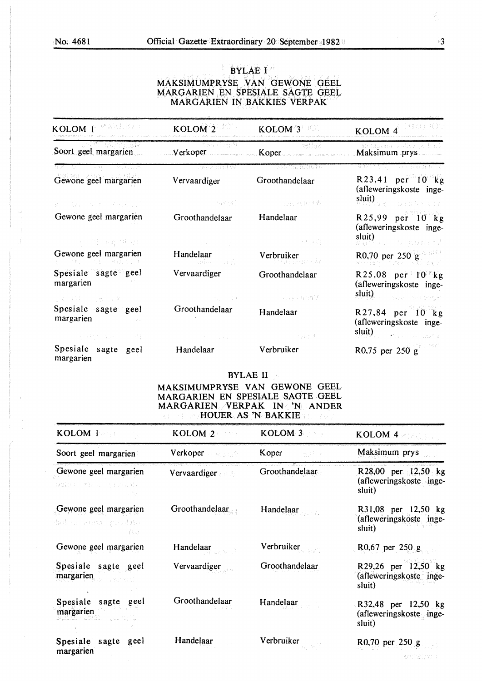#### **BYLAE I** MAKSIMUMPRYSE VAN GEWONE GEEL MARGARIEN EN SPESIALE SAGTE GEEL MARGARIEN IN BAKKIES VERPAK

| KOLOM 1 VEREEN                                                                                                                        | KOLOM <sup>2</sup>                | $KOLOM^3$                                                                                            | KOLOM 4 <sup> 1980</sup> ROD                                                                                                                                                                                                                                           |
|---------------------------------------------------------------------------------------------------------------------------------------|-----------------------------------|------------------------------------------------------------------------------------------------------|------------------------------------------------------------------------------------------------------------------------------------------------------------------------------------------------------------------------------------------------------------------------|
| wari mumate<br>Soort geel margarien                                                                                                   | <u>Ti theodyna</u> ti<br>Verkoper | – seliok<br>Koper                                                                                    | Deengaan pothe p. bal<br>Maksimum prys                                                                                                                                                                                                                                 |
| 이 가게 나오는 사람들은 사람들이 나라 가지 않았다.                                                                                                         | 대표 전시기 위해 가게                      | TURIT RIPUS S                                                                                        | en alternativo de la calculação de la provi                                                                                                                                                                                                                            |
| Gewone geel margarien                                                                                                                 | Vervaardiger                      | Groothandelaar                                                                                       | R23,41 per 10 kg<br>(afleweringskoste inge-                                                                                                                                                                                                                            |
| 医三甲板 经成本的 网络马拉比亚                                                                                                                      |                                   | - 1990年(1990年) - 1990年 - 1990年 - 1990年 - 1990年 - 1990年 - 1990年 - 1990年 - 1990年 - 1990年 - 1990年 - 199 | $\textbf{sluit}\big(\bigcup_{\mathcal{U}\in\mathcal{U}\cup\mathcal{U}}\mathcal{U}\big)_{\mathcal{U}\in\mathcal{U}}\big)=\bigcup_{\mathcal{U}\in\mathcal{U}}\big(\bigcup_{\mathcal{U}\in\mathcal{U}}\mathcal{U}\big)_{\mathcal{U}}\in\mathcal{U}\big(\mathcal{U}\big).$ |
| Gewone geel margarien                                                                                                                 | Groothandelaar                    | Handelaar                                                                                            | $R25,99$ per 10 kg<br>(afleweringskoste inge-                                                                                                                                                                                                                          |
| 2010 A.S. 1945 OF 12                                                                                                                  | <b>Service Controllers</b> (2009) | <b>1990年10月11日</b>                                                                                   | sluit)<br>$\frac{\text{sum}}{N}$ of $\frac{1}{N}$ or $\frac{1}{N}$ is proposed.                                                                                                                                                                                        |
| Gewone geel margarien<br>ブキン いつく いきりこくしょ                                                                                              | Handelaar<br>a sales i dala       | Verbruiker<br>i Vistorian e la                                                                       | R0,70 per 250 g<br>anist The Blogs                                                                                                                                                                                                                                     |
| Spesiale sagte geel<br>margarien                                                                                                      | Vervaardiger                      | Groothandelaar                                                                                       | R25,08 per $10$ kg<br>(afleweringskoste inge-<br>sluit)<br>Standard Barnett Brander                                                                                                                                                                                    |
| ミスト ハキー いっち ニュータ                                                                                                                      | <b>Commercial Commercial</b>      | in the company of the particular of the                                                              |                                                                                                                                                                                                                                                                        |
| Spesiale sagte geel<br>margarien and the state of the state of the state of the state of the state of the state of the state of the s | Groothandelaar                    | Handelaar                                                                                            | R27,84 per 10 kg<br>(afleweringskoste inge-                                                                                                                                                                                                                            |
| 医心室 经付款保险 经国际营销                                                                                                                       | and the first country of          | 一切取其。                                                                                                | $\text{sluit}$ since the second $\langle \cdot \rangle$                                                                                                                                                                                                                |
| Spesiale sagte geel<br>margarien                                                                                                      | Handelaar                         | Verbruiker                                                                                           | $R0,75$ per 250 g                                                                                                                                                                                                                                                      |

#### BYLAE II

#### MAKSIMUMPRYSE VAN GEWONE GEEL MARGARIEN EN SPESIALE SAGTE GEEL MARGARIEN VERPAK IN 'N ANDER HOUER AS 'N BAKKIE

| KOLOM 1                                              | KOLOM.2                | KOLOM 3        | KOLOM <sub>4</sub>                                       |
|------------------------------------------------------|------------------------|----------------|----------------------------------------------------------|
| Soort geel margarien                                 | Verkoper <b>Medall</b> | Koper<br>地位夹   | Maksimum prys                                            |
| Gewone geel margarien<br>GOLDEN RINAL ANDREWS.       | <b>Vervaardiger</b>    | Groothandelaar | R28,00 per 12,50 kg<br>(afleweringskoste inge-<br>sluit) |
| Gewone geel margarien<br>baint riso youist<br>f turn | Groothandelaar         | Handelaar      | R31,08 per 12,50 kg<br>(afleweringskoste inge-<br>sluit) |
| Gewone geel margarien                                | Handelaar              | Verbruiker     | R0,67 per $250 g$                                        |
| Spesiale sagte geel<br>margarien                     | Vervaardiger           | Groothandelaar | R29,26 per 12,50 kg<br>(afleweringskoste inge-<br>sluit) |
| Spesiale sagte geel<br>margarien                     | Groothandelaar         | Handelaar      | R32,48 per 12,50 kg<br>(afleweringskoste inge-<br>sluit) |
| Spesiale sagte<br>geel<br>margarien                  | Handelaar              | Verbruiker     | R0,70 per 250 g                                          |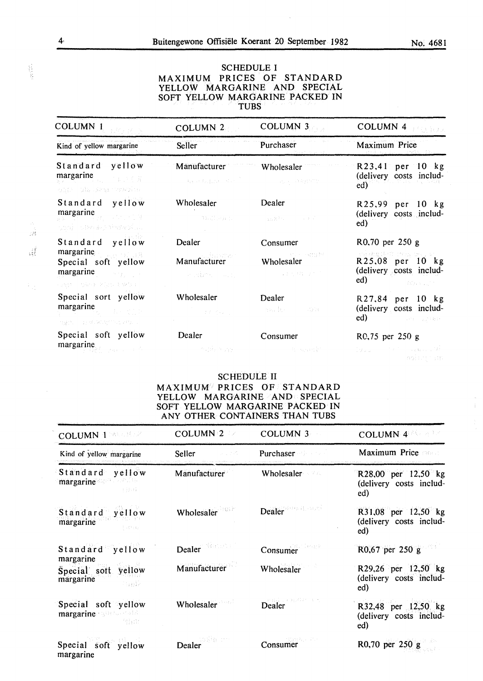#### SCHEDULE I MAXIMUM PRICES OF STANDARD YELLOW MARGARINE AND SPECIAL SOFT YELLOW MARGARINE PACKED IN TUBS

| <b>COLUMN 1</b>                                                                                                                                                                                                                                                                                                                | COLUMN <sub>2</sub>                       | <b>COLUMN 3</b>                                                      | COLUMN <sub>4</sub><br>计信号报文                                                                                                                                                                                                                                                       |
|--------------------------------------------------------------------------------------------------------------------------------------------------------------------------------------------------------------------------------------------------------------------------------------------------------------------------------|-------------------------------------------|----------------------------------------------------------------------|------------------------------------------------------------------------------------------------------------------------------------------------------------------------------------------------------------------------------------------------------------------------------------|
| Kind of yellow margarine                                                                                                                                                                                                                                                                                                       | <b>Seller</b>                             | Purchaser<br>Maria y Politica (1992)                                 | <b>Maximum Price</b>                                                                                                                                                                                                                                                               |
| Standard yellow<br>margarine and the state of the state of the state of the state of the state of the state of the state of the state of the state of the state of the state of the state of the state of the state of the state of the state of<br>anno 1982, Segi versolin                                                   | Manufacturer<br>Agent Epical State        | Wholesaler<br>The provided with                                      | $R23,41$ per 10 kg<br>(delivery costs includ-<br>ed)                                                                                                                                                                                                                               |
| Standard yellow<br>margarine and the state of the state of the state of the state of the state of the state of the state of the state of the state of the state of the state of the state of the state of the state of the state of the state of<br>stani – stemakse tinavesisko                                               | Wholesaler<br>Constitution of the         | Dealer<br>しょうほう しょうしょく                                               | R25,99 per 10 kg<br>(delivery costs includ-<br>ed)                                                                                                                                                                                                                                 |
| Standard yellow<br>margarine<br>Waller Street<br>Special soft yellow<br>margarine and the season of the season of the season of the season of the season of the season of the season of the season of the season of the season of the season of the season of the season of the season of the season o<br>OST - SAN KING DAG I | Dealer<br>Manufacturer<br>s e vibro seu p | Consumer<br><b>CONTRACTOR</b> STATES SECTION<br>Wholesaler<br>一般的男子? | R0,70 per 250 g<br>STEERBERFORTSCHEREN<br>R25,08 per 10 kg<br>(delivery costs includ-<br>ed)<br>$\mathcal{L}^{\text{max}}_{\text{max}}$ and $\mathcal{L}^{\text{max}}_{\text{max}}$ . Also, $\mathcal{L}^{\text{max}}_{\text{max}}$                                                |
| Special sort yellow<br>margarine and the state of the state of the state of the state of the state of the state of the state of the state of the state of the state of the state of the state of the state of the state of the state of the state of<br>ngin - arktivitinisko l                                                | Wholesaler<br>Constantinople              | Dealer<br>西辺 長い こうしのほ                                                | R27,84 per 10 kg<br>(delivery costs includ-<br><b>ed)</b> and the company of the company of the company of the company of the company of the company of the company of the company of the company of the company of the company of the company of the company of the company of th |
| Special soft yellow<br>margaring                                                                                                                                                                                                                                                                                               | Dealer<br>o madri mas                     | Consumer                                                             | R0,75 per 250 g<br>(タンカーバース・プロール ねんしげね)<br>Beating the state                                                                                                                                                                                                                       |

SCHEDULE II

#### MAXIMUM PRICES OF STANDARD YELLOW MARGARINE AND SPECIAL SOFT YELLOW MARGARINE PACKED IN ANY OTHER CONTAINERS THAN TUBS

| <b>COLUMN 1 MAGAZINE</b>                             | COLUMN <sub>2</sub><br>-19 | <b>COLUMN 3</b>            | <b>COLUMN 4 200 200</b>                               |
|------------------------------------------------------|----------------------------|----------------------------|-------------------------------------------------------|
| Kind of yellow margarine                             | Seller<br>u Lindi          | Purchaser <b>Purchaser</b> | Maximum Price Count                                   |
| Standard<br>yellow<br>margarine<br>3 8 8 8           | Manufacturer               | <b>Wholesaler</b>          | R28,00 per 12,50 kg<br>(delivery costs includ-<br>ed) |
| Standard yellow<br>margarine<br>1.7334               | Wholesaler                 | Dealer (1999), all counts  | R31,08 per 12,50 kg<br>(delivery costs includ-<br>ed) |
| Standard yellow<br>margarine                         | Dealer Manager             | Consumer                   | R0,67 per 250 g                                       |
| Special soft<br>yellow<br>margarine<br>그 노름은         | Manufacturer               | Wholesaler                 | R29,26 per 12,50 kg<br>(delivery costs includ-<br>ed) |
| Special soft yellow<br>margarine and the rain<br>목둘로 | Wholesaler                 | Dealer Hollands            | R32,48 per 12,50 kg<br>(delivery costs includ-<br>ed) |
| Special soft yellow<br>margarine                     | Dealer <b>Dealer</b>       | Consumer                   | R0,70 per 250 g                                       |

,:.:

료